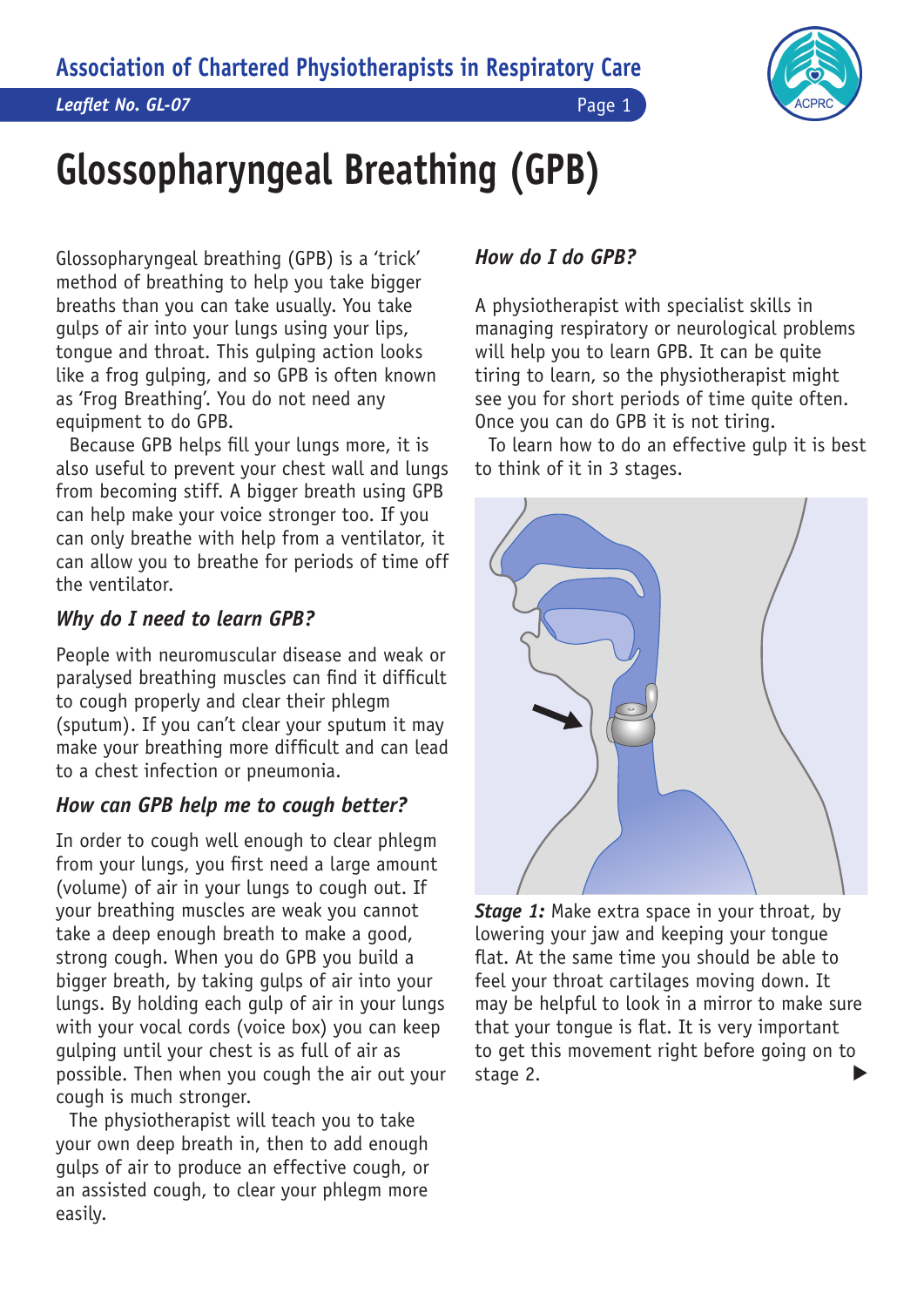*Leaflet No. GL-07* Page 1



# **Glossopharyngeal Breathing (GPB)**

Glossopharyngeal breathing (GPB) is a 'trick' method of breathing to help you take bigger breaths than you can take usually. You take gulps of air into your lungs using your lips, tongue and throat. This gulping action looks like a frog gulping, and so GPB is often known as 'Frog Breathing'. You do not need any equipment to do GPB.

Because GPB helps fill your lungs more, it is also useful to prevent your chest wall and lungs from becoming stiff. A bigger breath using GPB can help make your voice stronger too. If you **A** can only breathe with help from a ventilator, it can allow you to breathe for periods of time off the ventilator.

## *Why do I need to learn GPB?*

People with neuromuscular disease and weak or paralysed breathing muscles can find it difficult to cough properly and clear their phlegm (sputum). If you can't clear your sputum it may make your breathing more difficult and can lead to a chest infection or pneumonia.

## *How can GPB help me to cough better?*

In order to cough well enough to clear phlegm from your lungs, you first need a large amount (volume) of air in your lungs to cough out. If your breathing muscles are weak you cannot take a deep enough breath to make a good, **B** strong cough. When you do GPB you build a bigger breath, by taking gulps of air into your lungs. By holding each gulp of air in your lungs with your vocal cords (voice box) you can keep gulping until your chest is as full of air as possible. Then when you cough the air out your cough is much stronger.

The physiotherapist will teach you to take your own deep breath in, then to add enough gulps of air to produce an effective cough, or an assisted cough, to clear your phlegm more easily.

# *How do I do GPB?*

A physiotherapist with specialist skills in managing respiratory or neurological problems will help you to learn GPB. It can be quite tiring to learn, so the physiotherapist might see you for short periods of time quite often. Once you can do GPB it is not tiring.

To learn how to do an effective gulp it is best to think of it in 3 stages.



**Stage 1:** Make extra space in your throat, by lowering your jaw and keeping your tongue flat. At the same time you should be able to feel your throat cartilages moving down. It may be helpful to look in a mirror to make sure that your tongue is flat. It is very important to get this movement right before going on to stage 2.  $\blacktriangleright$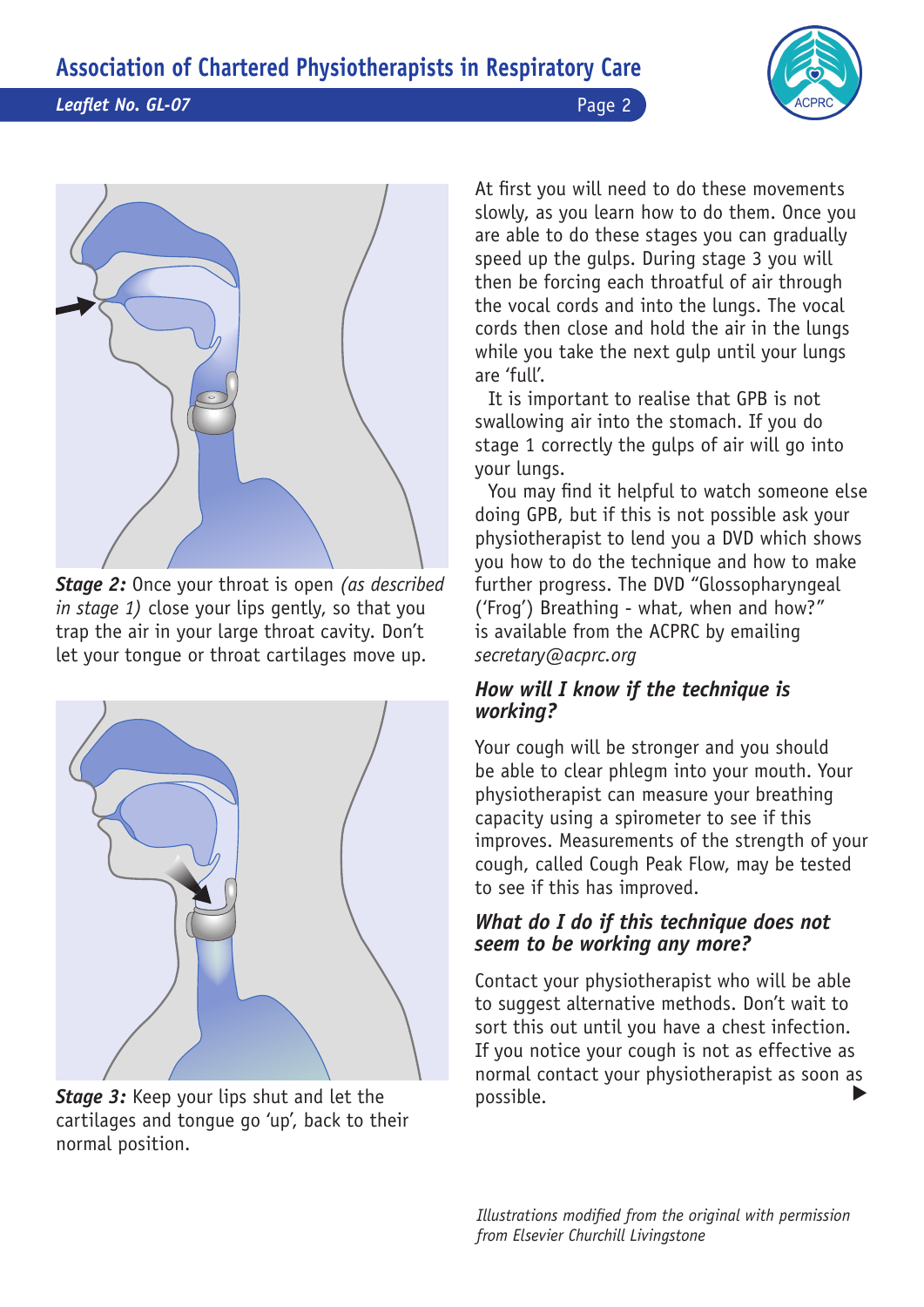*Leaflet No. GL-07* Page 2





*Stage 2:* Once your throat is open *(as described in stage 1)* close your lips gently, so that you trap the air in your large throat cavity. Don't let your tongue or throat cartilages move up.



**Stage 3:** Keep your lips shut and let the cartilages and tongue go 'up', back to their normal position.

At first you will need to do these movements slowly, as you learn how to do them. Once you are able to do these stages you can gradually speed up the gulps. During stage 3 you will then be forcing each throatful of air through the vocal cords and into the lungs. The vocal cords then close and hold the air in the lungs while you take the next gulp until your lungs are 'full'.

It is important to realise that GPB is not swallowing air into the stomach. If you do stage 1 correctly the gulps of air will go into your lungs.

You may find it helpful to watch someone else doing GPB, but if this is not possible ask your physiotherapist to lend you a DVD which shows you how to do the technique and how to make further progress. The DVD "Glossopharyngeal ('Frog') Breathing - what, when and how?" is available from the ACPRC by emailing *[secretary@acprc.org](mailto:secretary@acprc.org)*

## *How will I know if the technique is working?*

Your cough will be stronger and you should be able to clear phlegm into your mouth. Your physiotherapist can measure your breathing capacity using a spirometer to see if this improves. Measurements of the strength of your cough, called Cough Peak Flow, may be tested to see if this has improved.

## *What do I do if this technique does not seem to be working any more?*

Contact your physiotherapist who will be able to suggest alternative methods. Don't wait to sort this out until you have a chest infection. If you notice your cough is not as effective as normal contact your physiotherapist as soon as possible.

*Illustrations modified from the original with permission from Elsevier Churchill Livingstone*